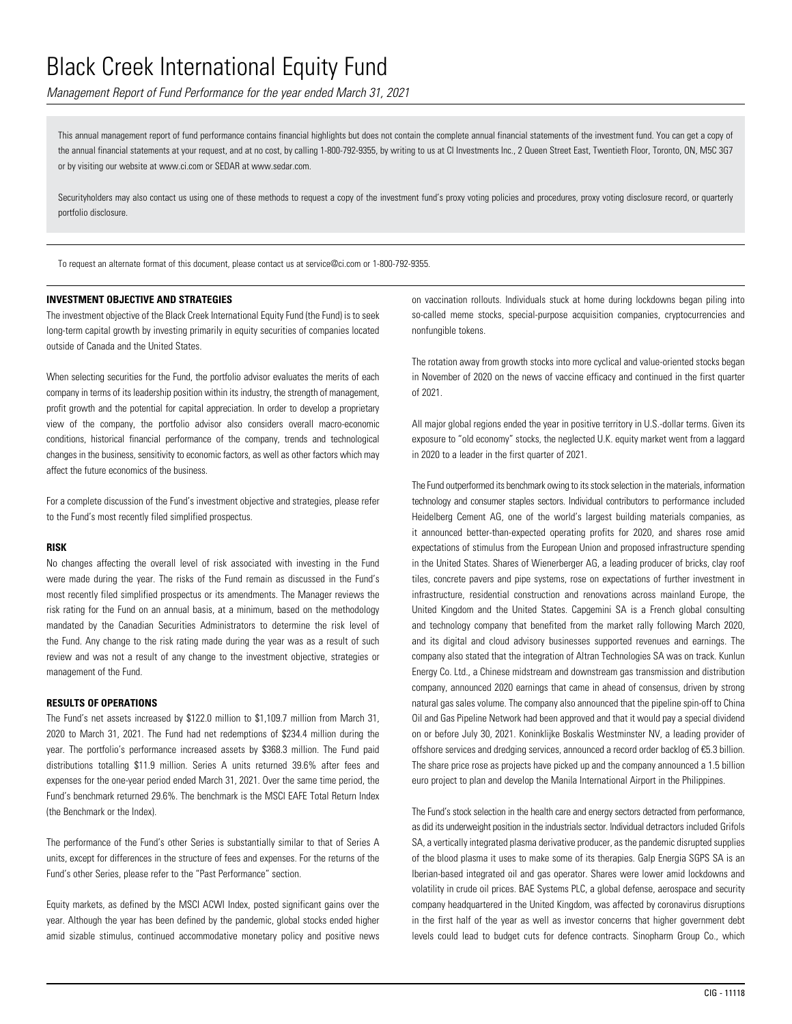*Management Report of Fund Performance for the year ended March 31, 2021*

This annual management report of fund performance contains financial highlights but does not contain the complete annual financial statements of the investment fund. You can get a copy of the annual financial statements at your request, and at no cost, by calling 1-800-792-9355, by writing to us at CI Investments Inc., 2 Queen Street East, Twentieth Floor, Toronto, ON, M5C 3G7 or by visiting our website at www.ci.com or SEDAR at www.sedar.com.

Securityholders may also contact us using one of these methods to request a copy of the investment fund's proxy voting policies and procedures, proxy voting disclosure record, or quarterly portfolio disclosure.

To request an alternate format of this document, please contact us at service@ci.com or 1-800-792-9355.

### **INVESTMENT OBJECTIVE AND STRATEGIES**

The investment objective of the Black Creek International Equity Fund (the Fund) is to seek long-term capital growth by investing primarily in equity securities of companies located outside of Canada and the United States.

When selecting securities for the Fund, the portfolio advisor evaluates the merits of each company in terms of its leadership position within its industry, the strength of management, profit growth and the potential for capital appreciation. In order to develop a proprietary view of the company, the portfolio advisor also considers overall macro-economic conditions, historical financial performance of the company, trends and technological changes in the business, sensitivity to economic factors, as well as other factors which may affect the future economics of the business.

For a complete discussion of the Fund's investment objective and strategies, please refer to the Fund's most recently filed simplified prospectus.

#### **RISK**

No changes affecting the overall level of risk associated with investing in the Fund were made during the year. The risks of the Fund remain as discussed in the Fund's most recently filed simplified prospectus or its amendments. The Manager reviews the risk rating for the Fund on an annual basis, at a minimum, based on the methodology mandated by the Canadian Securities Administrators to determine the risk level of the Fund. Any change to the risk rating made during the year was as a result of such review and was not a result of any change to the investment objective, strategies or management of the Fund.

#### **RESULTS OF OPERATIONS**

The Fund's net assets increased by \$122.0 million to \$1,109.7 million from March 31, 2020 to March 31, 2021. The Fund had net redemptions of \$234.4 million during the year. The portfolio's performance increased assets by \$368.3 million. The Fund paid distributions totalling \$11.9 million. Series A units returned 39.6% after fees and expenses for the one-year period ended March 31, 2021. Over the same time period, the Fund's benchmark returned 29.6%. The benchmark is the MSCI EAFE Total Return Index (the Benchmark or the Index).

The performance of the Fund's other Series is substantially similar to that of Series A units, except for differences in the structure of fees and expenses. For the returns of the Fund's other Series, please refer to the "Past Performance" section.

Equity markets, as defined by the MSCI ACWI Index, posted significant gains over the year. Although the year has been defined by the pandemic, global stocks ended higher amid sizable stimulus, continued accommodative monetary policy and positive news on vaccination rollouts. Individuals stuck at home during lockdowns began piling into so-called meme stocks, special-purpose acquisition companies, cryptocurrencies and nonfungible tokens.

The rotation away from growth stocks into more cyclical and value-oriented stocks began in November of 2020 on the news of vaccine efficacy and continued in the first quarter of 2021.

All major global regions ended the year in positive territory in U.S.-dollar terms. Given its exposure to "old economy" stocks, the neglected U.K. equity market went from a laggard in 2020 to a leader in the first quarter of 2021.

The Fund outperformed its benchmark owing to its stock selection in the materials, information technology and consumer staples sectors. Individual contributors to performance included Heidelberg Cement AG, one of the world's largest building materials companies, as it announced better-than-expected operating profits for 2020, and shares rose amid expectations of stimulus from the European Union and proposed infrastructure spending in the United States. Shares of Wienerberger AG, a leading producer of bricks, clay roof tiles, concrete pavers and pipe systems, rose on expectations of further investment in infrastructure, residential construction and renovations across mainland Europe, the United Kingdom and the United States. Capgemini SA is a French global consulting and technology company that benefited from the market rally following March 2020, and its digital and cloud advisory businesses supported revenues and earnings. The company also stated that the integration of Altran Technologies SA was on track. Kunlun Energy Co. Ltd., a Chinese midstream and downstream gas transmission and distribution company, announced 2020 earnings that came in ahead of consensus, driven by strong natural gas sales volume. The company also announced that the pipeline spin-off to China Oil and Gas Pipeline Network had been approved and that it would pay a special dividend on or before July 30, 2021. Koninklijke Boskalis Westminster NV, a leading provider of offshore services and dredging services, announced a record order backlog of €5.3 billion. The share price rose as projects have picked up and the company announced a 1.5 billion euro project to plan and develop the Manila International Airport in the Philippines.

The Fund's stock selection in the health care and energy sectors detracted from performance, as did its underweight position in the industrials sector. Individual detractors included Grifols SA, a vertically integrated plasma derivative producer, as the pandemic disrupted supplies of the blood plasma it uses to make some of its therapies. Galp Energia SGPS SA is an Iberian-based integrated oil and gas operator. Shares were lower amid lockdowns and volatility in crude oil prices. BAE Systems PLC, a global defense, aerospace and security company headquartered in the United Kingdom, was affected by coronavirus disruptions in the first half of the year as well as investor concerns that higher government debt levels could lead to budget cuts for defence contracts. Sinopharm Group Co., which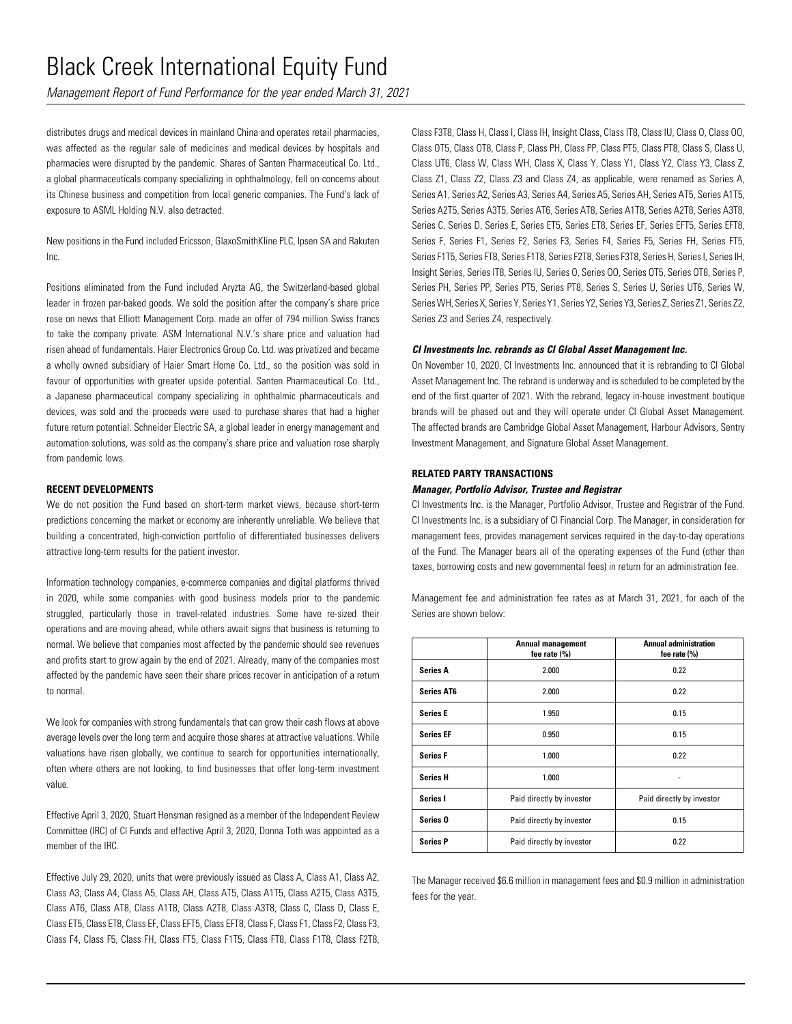*Management Report of Fund Performance for the year ended March 31, 2021*

distributes drugs and medical devices in mainland China and operates retail pharmacies, was affected as the regular sale of medicines and medical devices by hospitals and pharmacies were disrupted by the pandemic. Shares of Santen Pharmaceutical Co. Ltd., a global pharmaceuticals company specializing in ophthalmology, fell on concerns about its Chinese business and competition from local generic companies. The Fund's lack of exposure to ASML Holding N.V. also detracted.

New positions in the Fund included Ericsson, GlaxoSmithKline PLC, Ipsen SA and Rakuten Inc.

Positions eliminated from the Fund included Aryzta AG, the Switzerland-based global leader in frozen par-baked goods. We sold the position after the company's share price rose on news that Elliott Management Corp. made an offer of 794 million Swiss francs to take the company private. ASM International N.V.'s share price and valuation had risen ahead of fundamentals. Haier Electronics Group Co. Ltd. was privatized and became a wholly owned subsidiary of Haier Smart Home Co. Ltd., so the position was sold in favour of opportunities with greater upside potential. Santen Pharmaceutical Co. Ltd., a Japanese pharmaceutical company specializing in ophthalmic pharmaceuticals and devices, was sold and the proceeds were used to purchase shares that had a higher future return potential. Schneider Electric SA, a global leader in energy management and automation solutions, was sold as the company's share price and valuation rose sharply from pandemic lows.

### **RECENT DEVELOPMENTS**

We do not position the Fund based on short-term market views, because short-term predictions concerning the market or economy are inherently unreliable. We believe that building a concentrated, high-conviction portfolio of differentiated businesses delivers attractive long-term results for the patient investor.

Information technology companies, e-commerce companies and digital platforms thrived in 2020, while some companies with good business models prior to the pandemic struggled, particularly those in travel-related industries. Some have re-sized their operations and are moving ahead, while others await signs that business is returning to normal. We believe that companies most affected by the pandemic should see revenues and profits start to grow again by the end of 2021. Already, many of the companies most affected by the pandemic have seen their share prices recover in anticipation of a return to normal.

We look for companies with strong fundamentals that can grow their cash flows at above average levels over the long term and acquire those shares at attractive valuations. While valuations have risen globally, we continue to search for opportunities internationally, often where others are not looking, to find businesses that offer long-term investment value.

Effective April 3, 2020, Stuart Hensman resigned as a member of the Independent Review Committee (IRC) of CI Funds and effective April 3, 2020, Donna Toth was appointed as a member of the IRC.

Effective July 29, 2020, units that were previously issued as Class A, Class A1, Class A2, Class A3, Class A4, Class A5, Class AH, Class AT5, Class A1T5, Class A2T5, Class A3T5, Class AT6, Class AT8, Class A1T8, Class A2T8, Class A3T8, Class C, Class D, Class E, Class ET5, Class ET8, Class EF, Class EFT5, Class EFT8, Class F, Class F1, Class F2, Class F3, Class F4, Class F5, Class FH, Class FT5, Class F1T5, Class FT8, Class F1T8, Class F2T8, Class F3T8, Class H, Class I, Class IH, Insight Class, Class IT8, Class IU, Class O, Class OO, Class OT5, Class OT8, Class P, Class PH, Class PP, Class PT5, Class PT8, Class S, Class U, Class UT6, Class W, Class WH, Class X, Class Y, Class Y1, Class Y2, Class Y3, Class Z, Class Z1, Class Z2, Class Z3 and Class Z4, as applicable, were renamed as Series A, Series A1, Series A2, Series A3, Series A4, Series A5, Series AH, Series AT5, Series A1T5, Series A2T5, Series A3T5, Series AT6, Series AT8, Series A1T8, Series A2T8, Series A3T8, Series C, Series D, Series E, Series ET5, Series ET8, Series EF, Series EFT5, Series EFT8, Series F, Series F1, Series F2, Series F3, Series F4, Series F5, Series FH, Series FT5, Series F1T5, Series FT8, Series F1T8, Series F2T8, Series F3T8, Series H, Series I, Series IH, Insight Series, Series IT8, Series IU, Series O, Series OO, Series OT5, Series OT8, Series P, Series PH, Series PP, Series PT5, Series PT8, Series S, Series U, Series UT6, Series W, Series WH, Series X, Series Y, Series Y1, Series Y2, Series Y3, Series Z, Series Z1, Series Z2, Series Z3 and Series Z4, respectively.

#### *CI Investments Inc. rebrands as CI Global Asset Management Inc.*

On November 10, 2020, CI Investments Inc. announced that it is rebranding to CI Global Asset Management Inc. The rebrand is underway and is scheduled to be completed by the end of the first quarter of 2021. With the rebrand, legacy in-house investment boutique brands will be phased out and they will operate under CI Global Asset Management. The affected brands are Cambridge Global Asset Management, Harbour Advisors, Sentry Investment Management, and Signature Global Asset Management.

#### **RELATED PARTY TRANSACTIONS**

### *Manager, Portfolio Advisor, Trustee and Registrar*

CI Investments Inc. is the Manager, Portfolio Advisor, Trustee and Registrar of the Fund. CI Investments Inc. is a subsidiary of CI Financial Corp. The Manager, in consideration for management fees, provides management services required in the day-to-day operations of the Fund. The Manager bears all of the operating expenses of the Fund (other than taxes, borrowing costs and new governmental fees) in return for an administration fee.

Management fee and administration fee rates as at March 31, 2021, for each of the Series are shown below:

|                     | <b>Annual management</b><br>fee rate (%) | <b>Annual administration</b><br>fee rate (%) |
|---------------------|------------------------------------------|----------------------------------------------|
| <b>Series A</b>     | 2.000                                    | 0.22                                         |
| <b>Series AT6</b>   | 2.000                                    | 0.22                                         |
| <b>Series E</b>     | 1.950                                    | 0.15                                         |
| <b>Series EF</b>    | 0.950                                    | 0.15                                         |
| <b>Series F</b>     | 1.000                                    | 0.22                                         |
| <b>Series H</b>     | 1.000                                    |                                              |
| Series I            | Paid directly by investor                | Paid directly by investor                    |
| Series <sub>0</sub> | Paid directly by investor                | 0.15                                         |
| <b>Series P</b>     | Paid directly by investor                | 0.22                                         |

The Manager received \$6.6 million in management fees and \$0.9 million in administration fees for the year.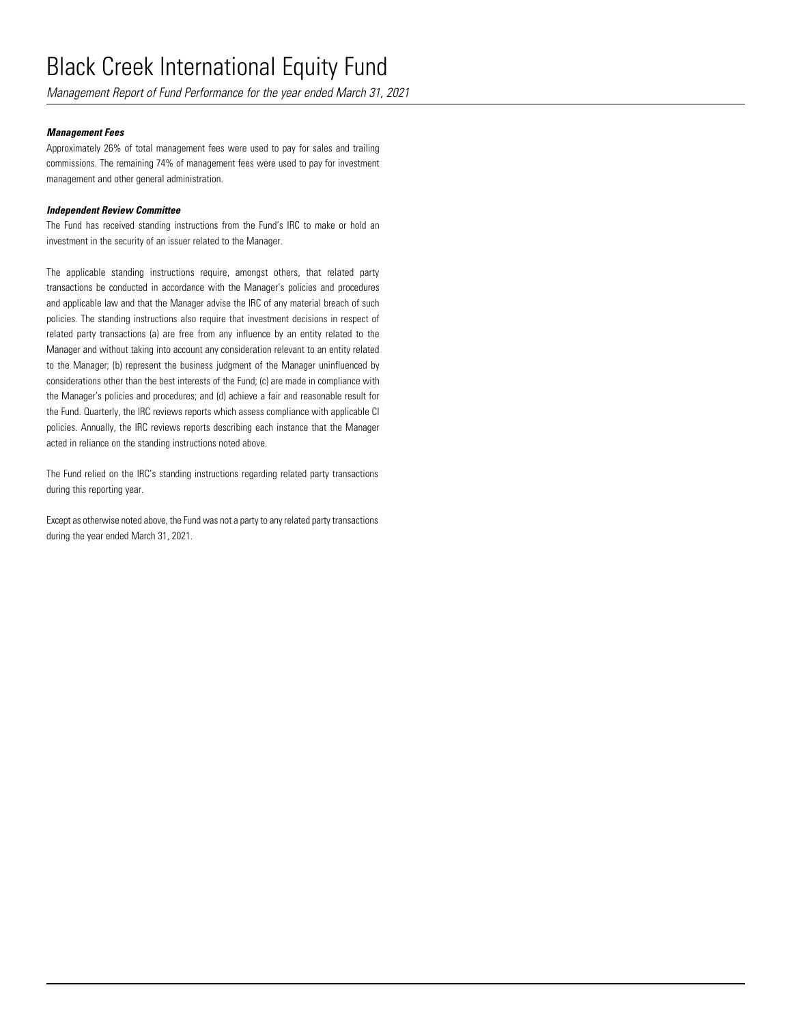*Management Report of Fund Performance for the year ended March 31, 2021*

### *Management Fees*

Approximately 26% of total management fees were used to pay for sales and trailing commissions. The remaining 74% of management fees were used to pay for investment management and other general administration.

### *Independent Review Committee*

The Fund has received standing instructions from the Fund's IRC to make or hold an investment in the security of an issuer related to the Manager.

The applicable standing instructions require, amongst others, that related party transactions be conducted in accordance with the Manager's policies and procedures and applicable law and that the Manager advise the IRC of any material breach of such policies. The standing instructions also require that investment decisions in respect of related party transactions (a) are free from any influence by an entity related to the Manager and without taking into account any consideration relevant to an entity related to the Manager; (b) represent the business judgment of the Manager uninfluenced by considerations other than the best interests of the Fund; (c) are made in compliance with the Manager's policies and procedures; and (d) achieve a fair and reasonable result for the Fund. Quarterly, the IRC reviews reports which assess compliance with applicable CI policies. Annually, the IRC reviews reports describing each instance that the Manager acted in reliance on the standing instructions noted above.

The Fund relied on the IRC's standing instructions regarding related party transactions during this reporting year.

Except as otherwise noted above, the Fund was not a party to any related party transactions during the year ended March 31, 2021.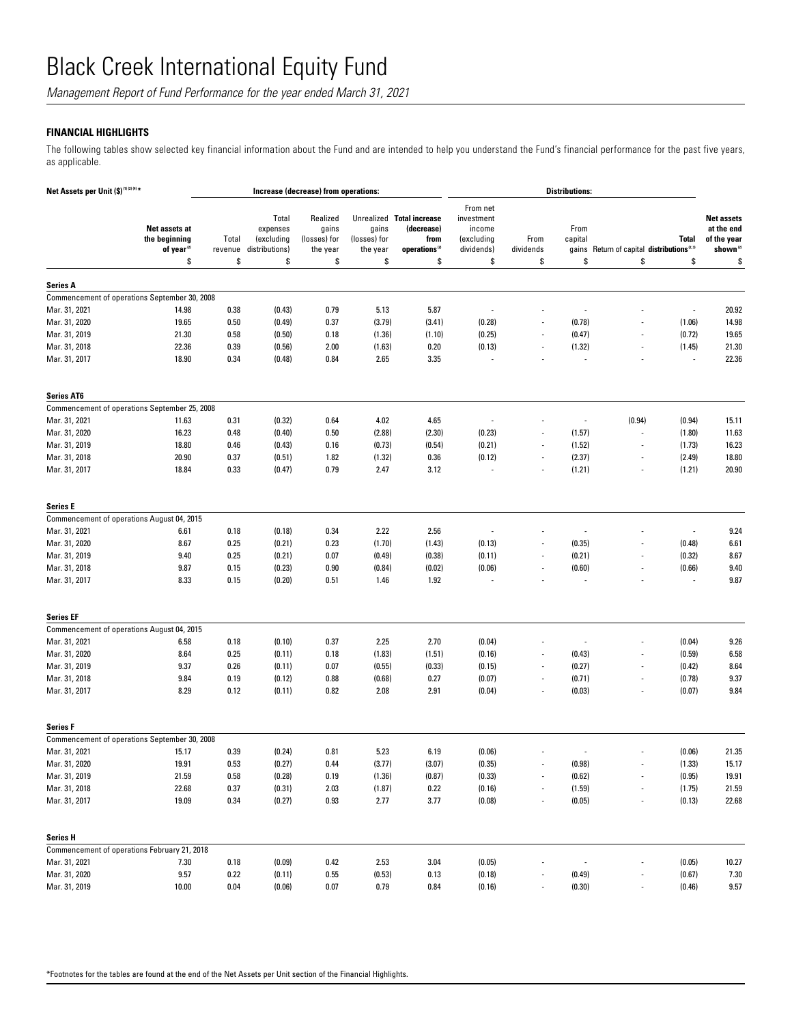*Management Report of Fund Performance for the year ended March 31, 2021*

## **FINANCIAL HIGHLIGHTS**

The following tables show selected key financial information about the Fund and are intended to help you understand the Fund's financial performance for the past five years, as applicable.

| Net Assets per Unit (\$)(1)(2)(4)*            |                                                                | Increase (decrease) from operations: |                                                         |                                                     |                                         |                                                                                    | <b>Distributions:</b>                                              |                          |                                |                                                       |                          |                                                                              |
|-----------------------------------------------|----------------------------------------------------------------|--------------------------------------|---------------------------------------------------------|-----------------------------------------------------|-----------------------------------------|------------------------------------------------------------------------------------|--------------------------------------------------------------------|--------------------------|--------------------------------|-------------------------------------------------------|--------------------------|------------------------------------------------------------------------------|
|                                               | Net assets at<br>the beginning<br>of year <sup>(2)</sup><br>\$ | Total<br>revenue<br>\$               | Total<br>expenses<br>(excluding<br>distributions)<br>\$ | Realized<br>gains<br>(losses) for<br>the year<br>\$ | gains<br>(losses) for<br>the year<br>\$ | Unrealized Total increase<br>(decrease)<br>from<br>operations <sup>(2)</sup><br>\$ | From net<br>investment<br>income<br>(excluding<br>dividends)<br>\$ | From<br>dividends<br>\$  | From<br>capital<br>qains<br>\$ | Return of capital distributions <sup>2.31</sup><br>\$ | <b>Total</b><br>\$       | <b>Net assets</b><br>at the end<br>of the year<br>shown <sup>(2)</sup><br>\$ |
|                                               |                                                                |                                      |                                                         |                                                     |                                         |                                                                                    |                                                                    |                          |                                |                                                       |                          |                                                                              |
| <b>Series A</b>                               |                                                                |                                      |                                                         |                                                     |                                         |                                                                                    |                                                                    |                          |                                |                                                       |                          |                                                                              |
| Commencement of operations September 30, 2008 |                                                                |                                      |                                                         |                                                     |                                         |                                                                                    |                                                                    |                          |                                |                                                       |                          |                                                                              |
| Mar. 31, 2021                                 | 14.98                                                          | 0.38                                 | (0.43)                                                  | 0.79                                                | 5.13                                    | 5.87                                                                               | $\overline{a}$                                                     |                          |                                |                                                       | $\overline{\phantom{a}}$ | 20.92                                                                        |
| Mar. 31, 2020                                 | 19.65                                                          | 0.50                                 | (0.49)                                                  | 0.37                                                | (3.79)                                  | (3.41)                                                                             | (0.28)                                                             |                          | (0.78)                         |                                                       | (1.06)                   | 14.98                                                                        |
| Mar. 31, 2019                                 | 21.30                                                          | 0.58                                 | (0.50)                                                  | 0.18                                                | (1.36)                                  | (1.10)                                                                             | (0.25)                                                             | $\overline{\phantom{a}}$ | (0.47)                         | $\overline{a}$                                        | (0.72)                   | 19.65                                                                        |
| Mar. 31, 2018                                 | 22.36                                                          | 0.39                                 | (0.56)                                                  | 2.00                                                | (1.63)                                  | 0.20                                                                               | (0.13)                                                             |                          | (1.32)                         |                                                       | (1.45)                   | 21.30                                                                        |
| Mar. 31, 2017                                 | 18.90                                                          | 0.34                                 | (0.48)                                                  | 0.84                                                | 2.65                                    | 3.35                                                                               |                                                                    |                          | $\overline{\phantom{a}}$       |                                                       | $\overline{a}$           | 22.36                                                                        |
| <b>Series AT6</b>                             |                                                                |                                      |                                                         |                                                     |                                         |                                                                                    |                                                                    |                          |                                |                                                       |                          |                                                                              |
| Commencement of operations September 25, 2008 |                                                                |                                      |                                                         |                                                     |                                         |                                                                                    |                                                                    |                          |                                |                                                       |                          |                                                                              |
| Mar. 31, 2021                                 | 11.63                                                          | 0.31                                 | (0.32)                                                  | 0.64                                                | 4.02                                    | 4.65                                                                               |                                                                    |                          | $\overline{\phantom{a}}$       | (0.94)                                                | (0.94)                   | 15.11                                                                        |
| Mar. 31, 2020                                 | 16.23                                                          | 0.48                                 | (0.40)                                                  | 0.50                                                | (2.88)                                  | (2.30)                                                                             | (0.23)                                                             |                          | (1.57)                         | Ĭ.                                                    | (1.80)                   | 11.63                                                                        |
| Mar. 31, 2019                                 | 18.80                                                          | 0.46                                 | (0.43)                                                  | 0.16                                                | (0.73)                                  | (0.54)                                                                             | (0.21)                                                             |                          | (1.52)                         | $\overline{a}$                                        | (1.73)                   | 16.23                                                                        |
| Mar. 31, 2018                                 | 20.90                                                          | 0.37                                 | (0.51)                                                  | 1.82                                                | (1.32)                                  | 0.36                                                                               | (0.12)                                                             |                          | (2.37)                         | $\overline{\phantom{a}}$                              | (2.49)                   | 18.80                                                                        |
| Mar. 31, 2017                                 | 18.84                                                          | 0.33                                 | (0.47)                                                  | 0.79                                                | 2.47                                    | 3.12                                                                               | $\overline{\phantom{a}}$                                           |                          | (1.21)                         | $\overline{a}$                                        | (1.21)                   | 20.90                                                                        |
| <b>Series E</b>                               |                                                                |                                      |                                                         |                                                     |                                         |                                                                                    |                                                                    |                          |                                |                                                       |                          |                                                                              |
| Commencement of operations August 04, 2015    |                                                                |                                      |                                                         |                                                     |                                         |                                                                                    |                                                                    |                          |                                |                                                       |                          |                                                                              |
| Mar. 31, 2021                                 | 6.61                                                           | 0.18                                 | (0.18)                                                  | 0.34                                                | 2.22                                    | 2.56                                                                               |                                                                    |                          |                                |                                                       |                          | 9.24                                                                         |
| Mar. 31, 2020                                 | 8.67                                                           | 0.25                                 | (0.21)                                                  | 0.23                                                | (1.70)                                  | (1.43)                                                                             | (0.13)                                                             | $\overline{a}$           | (0.35)                         |                                                       | (0.48)                   | 6.61                                                                         |
| Mar. 31, 2019                                 | 9.40                                                           | 0.25                                 | (0.21)                                                  | 0.07                                                | (0.49)                                  | (0.38)                                                                             | (0.11)                                                             |                          | (0.21)                         | $\overline{\phantom{a}}$                              | (0.32)                   | 8.67                                                                         |
| Mar. 31, 2018                                 | 9.87                                                           | 0.15                                 | (0.23)                                                  | 0.90                                                | (0.84)                                  | (0.02)                                                                             | (0.06)                                                             |                          | (0.60)                         |                                                       | (0.66)                   | 9.40                                                                         |
| Mar. 31, 2017                                 | 8.33                                                           | 0.15                                 | (0.20)                                                  | 0.51                                                | 1.46                                    | 1.92                                                                               |                                                                    |                          | ٠.                             |                                                       |                          | 9.87                                                                         |
| <b>Series EF</b>                              |                                                                |                                      |                                                         |                                                     |                                         |                                                                                    |                                                                    |                          |                                |                                                       |                          |                                                                              |
| Commencement of operations August 04, 2015    |                                                                |                                      |                                                         |                                                     |                                         |                                                                                    |                                                                    |                          |                                |                                                       |                          |                                                                              |
| Mar. 31, 2021                                 | 6.58                                                           | 0.18                                 | (0.10)                                                  | 0.37                                                | 2.25                                    | 2.70                                                                               | (0.04)                                                             |                          |                                |                                                       | (0.04)                   | 9.26                                                                         |
| Mar. 31, 2020                                 | 8.64                                                           | 0.25                                 | (0.11)                                                  | 0.18                                                | (1.83)                                  | (1.51)                                                                             | (0.16)                                                             | $\overline{\phantom{a}}$ | (0.43)                         |                                                       | (0.59)                   | 6.58                                                                         |
| Mar. 31, 2019                                 | 9.37                                                           | 0.26                                 | (0.11)                                                  | 0.07                                                | (0.55)                                  | (0.33)                                                                             | (0.15)                                                             | $\overline{\phantom{a}}$ | (0.27)                         | ÷                                                     | (0.42)                   | 8.64                                                                         |
| Mar. 31, 2018                                 | 9.84                                                           | 0.19                                 | (0.12)                                                  | 0.88                                                | (0.68)                                  | 0.27                                                                               | (0.07)                                                             |                          | (0.71)                         | $\overline{a}$                                        | (0.78)                   | 9.37                                                                         |
| Mar. 31, 2017                                 | 8.29                                                           | 0.12                                 | (0.11)                                                  | 0.82                                                | 2.08                                    | 2.91                                                                               | (0.04)                                                             |                          | (0.03)                         | $\overline{a}$                                        | (0.07)                   | 9.84                                                                         |
| <b>Series F</b>                               |                                                                |                                      |                                                         |                                                     |                                         |                                                                                    |                                                                    |                          |                                |                                                       |                          |                                                                              |
| Commencement of operations September 30, 2008 |                                                                |                                      |                                                         |                                                     |                                         |                                                                                    |                                                                    |                          |                                |                                                       |                          |                                                                              |
| Mar. 31, 2021                                 | 15.17                                                          | 0.39                                 | (0.24)                                                  | 0.81                                                | 5.23                                    | 6.19                                                                               | (0.06)                                                             |                          |                                |                                                       | (0.06)                   | 21.35                                                                        |
| Mar. 31, 2020                                 | 19.91                                                          | 0.53                                 | (0.27)                                                  | 0.44                                                | (3.77)                                  | (3.07)                                                                             | (0.35)                                                             |                          | (0.98)                         |                                                       | (1.33)                   | 15.17                                                                        |
| Mar. 31, 2019                                 | 21.59                                                          | 0.58                                 | (0.28)                                                  | 0.19                                                | (1.36)                                  | (0.87)                                                                             | (0.33)                                                             | $\overline{\phantom{a}}$ | (0.62)                         | $\overline{a}$                                        | (0.95)                   | 19.91                                                                        |
| Mar. 31, 2018                                 | 22.68                                                          | 0.37                                 | (0.31)                                                  | 2.03                                                | (1.87)                                  | 0.22                                                                               | (0.16)                                                             |                          | (1.59)                         |                                                       | (1.75)                   | 21.59                                                                        |
| Mar. 31, 2017                                 | 19.09                                                          | 0.34                                 | (0.27)                                                  | 0.93                                                | 2.77                                    | 3.77                                                                               | (0.08)                                                             |                          | (0.05)                         | $\blacksquare$                                        | (0.13)                   | 22.68                                                                        |
| Series H                                      |                                                                |                                      |                                                         |                                                     |                                         |                                                                                    |                                                                    |                          |                                |                                                       |                          |                                                                              |
| Commencement of operations February 21, 2018  |                                                                |                                      |                                                         |                                                     |                                         |                                                                                    |                                                                    |                          |                                |                                                       |                          |                                                                              |
| Mar. 31, 2021                                 | 7.30                                                           | 0.18                                 | (0.09)                                                  | 0.42                                                | 2.53                                    | 3.04                                                                               | (0.05)                                                             |                          |                                |                                                       | (0.05)                   | 10.27                                                                        |
| Mar. 31, 2020                                 | 9.57                                                           | 0.22                                 | (0.11)                                                  | 0.55                                                | (0.53)                                  | 0.13                                                                               | (0.18)                                                             |                          | (0.49)                         |                                                       | (0.67)                   | 7.30                                                                         |
| Mar. 31, 2019                                 | 10.00                                                          | 0.04                                 | (0.06)                                                  | 0.07                                                | 0.79                                    | 0.84                                                                               | (0.16)                                                             |                          | (0.30)                         |                                                       | (0.46)                   | 9.57                                                                         |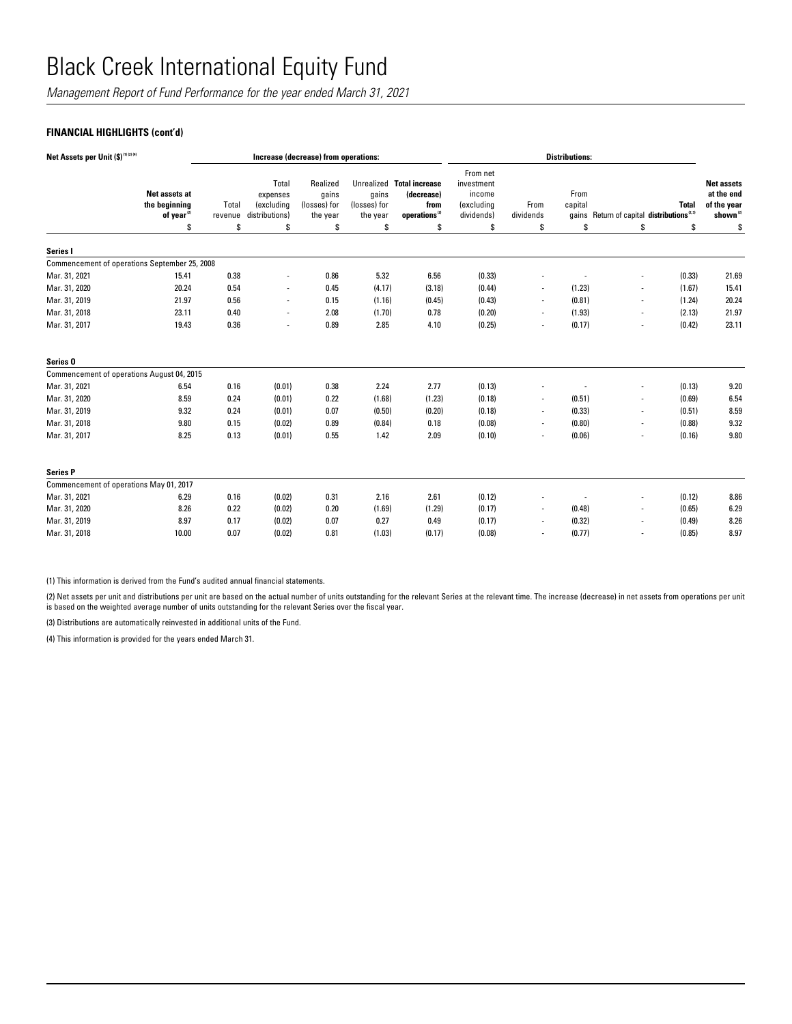*Management Report of Fund Performance for the year ended March 31, 2021*

## **FINANCIAL HIGHLIGHTS (cont'd)**

| Net Assets per Unit (\$) <sup>(1)(2)(4)</sup> |                                                          | Increase (decrease) from operations: |                                                   |                                               |                                   |                                                                              | <b>Distributions:</b>                                        |                          |                 |                                                       |              |                                                                        |
|-----------------------------------------------|----------------------------------------------------------|--------------------------------------|---------------------------------------------------|-----------------------------------------------|-----------------------------------|------------------------------------------------------------------------------|--------------------------------------------------------------|--------------------------|-----------------|-------------------------------------------------------|--------------|------------------------------------------------------------------------|
|                                               | Net assets at<br>the beginning<br>of year <sup>(2)</sup> | Total<br>revenue                     | Total<br>expenses<br>(excluding<br>distributions) | Realized<br>gains<br>(losses) for<br>the year | gains<br>(losses) for<br>the year | Unrealized Total increase<br>(decrease)<br>from<br>operations <sup>(2)</sup> | From net<br>investment<br>income<br>(excluding<br>dividends) | From<br>dividends        | From<br>capital | gains Return of capital distributions <sup>2.31</sup> | <b>Total</b> | <b>Net assets</b><br>at the end<br>of the year<br>shown <sup>(2)</sup> |
|                                               | \$                                                       | \$                                   | \$                                                | \$                                            | \$                                | \$                                                                           | s                                                            | \$                       | S               | \$                                                    | \$           | \$                                                                     |
| Series I                                      |                                                          |                                      |                                                   |                                               |                                   |                                                                              |                                                              |                          |                 |                                                       |              |                                                                        |
|                                               | Commencement of operations September 25, 2008            |                                      |                                                   |                                               |                                   |                                                                              |                                                              |                          |                 |                                                       |              |                                                                        |
| Mar. 31, 2021                                 | 15.41                                                    | 0.38                                 | $\overline{a}$                                    | 0.86                                          | 5.32                              | 6.56                                                                         | (0.33)                                                       |                          |                 | ä,                                                    | (0.33)       | 21.69                                                                  |
| Mar. 31, 2020                                 | 20.24                                                    | 0.54                                 | $\overline{a}$                                    | 0.45                                          | (4.17)                            | (3.18)                                                                       | (0.44)                                                       | $\overline{\phantom{a}}$ | (1.23)          |                                                       | (1.67)       | 15.41                                                                  |
| Mar. 31, 2019                                 | 21.97                                                    | 0.56                                 | ٠                                                 | 0.15                                          | (1.16)                            | (0.45)                                                                       | (0.43)                                                       |                          | (0.81)          | ٠                                                     | (1.24)       | 20.24                                                                  |
| Mar. 31, 2018                                 | 23.11                                                    | 0.40                                 | ٠                                                 | 2.08                                          | (1.70)                            | 0.78                                                                         | (0.20)                                                       | $\overline{\phantom{a}}$ | (1.93)          | ٠                                                     | (2.13)       | 21.97                                                                  |
| Mar. 31, 2017                                 | 19.43                                                    | 0.36                                 | ٠                                                 | 0.89                                          | 2.85                              | 4.10                                                                         | (0.25)                                                       |                          | (0.17)          | ٠                                                     | (0.42)       | 23.11                                                                  |
| Series <sub>0</sub>                           |                                                          |                                      |                                                   |                                               |                                   |                                                                              |                                                              |                          |                 |                                                       |              |                                                                        |
|                                               | Commencement of operations August 04, 2015               |                                      |                                                   |                                               |                                   |                                                                              |                                                              |                          |                 |                                                       |              |                                                                        |
| Mar. 31, 2021                                 | 6.54                                                     | 0.16                                 | (0.01)                                            | 0.38                                          | 2.24                              | 2.77                                                                         | (0.13)                                                       |                          |                 |                                                       | (0.13)       | 9.20                                                                   |
| Mar. 31, 2020                                 | 8.59                                                     | 0.24                                 | (0.01)                                            | 0.22                                          | (1.68)                            | (1.23)                                                                       | (0.18)                                                       | $\blacksquare$           | (0.51)          | ٠                                                     | (0.69)       | 6.54                                                                   |
| Mar. 31, 2019                                 | 9.32                                                     | 0.24                                 | (0.01)                                            | 0.07                                          | (0.50)                            | (0.20)                                                                       | (0.18)                                                       | $\overline{\phantom{a}}$ | (0.33)          | ä,                                                    | (0.51)       | 8.59                                                                   |
| Mar. 31, 2018                                 | 9.80                                                     | 0.15                                 | (0.02)                                            | 0.89                                          | (0.84)                            | 0.18                                                                         | (0.08)                                                       | $\overline{\phantom{a}}$ | (0.80)          | ٠                                                     | (0.88)       | 9.32                                                                   |
| Mar. 31, 2017                                 | 8.25                                                     | 0.13                                 | (0.01)                                            | 0.55                                          | 1.42                              | 2.09                                                                         | (0.10)                                                       |                          | (0.06)          | ٠                                                     | (0.16)       | 9.80                                                                   |
| <b>Series P</b>                               |                                                          |                                      |                                                   |                                               |                                   |                                                                              |                                                              |                          |                 |                                                       |              |                                                                        |
|                                               | Commencement of operations May 01, 2017                  |                                      |                                                   |                                               |                                   |                                                                              |                                                              |                          |                 |                                                       |              |                                                                        |
| Mar. 31, 2021                                 | 6.29                                                     | 0.16                                 | (0.02)                                            | 0.31                                          | 2.16                              | 2.61                                                                         | (0.12)                                                       |                          |                 |                                                       | (0.12)       | 8.86                                                                   |
| Mar. 31, 2020                                 | 8.26                                                     | 0.22                                 | (0.02)                                            | 0.20                                          | (1.69)                            | (1.29)                                                                       | (0.17)                                                       |                          | (0.48)          |                                                       | (0.65)       | 6.29                                                                   |
| Mar. 31, 2019                                 | 8.97                                                     | 0.17                                 | (0.02)                                            | 0.07                                          | 0.27                              | 0.49                                                                         | (0.17)                                                       |                          | (0.32)          | ٠                                                     | (0.49)       | 8.26                                                                   |
| Mar. 31, 2018                                 | 10.00                                                    | 0.07                                 | (0.02)                                            | 0.81                                          | (1.03)                            | (0.17)                                                                       | (0.08)                                                       |                          | (0.77)          |                                                       | (0.85)       | 8.97                                                                   |

(1) This information is derived from the Fund's audited annual financial statements.

(2) Net assets per unit and distributions per unit are based on the actual number of units outstanding for the relevant Series at the relevant time. The increase (decrease) in net assets from operations per unit is based on the weighted average number of units outstanding for the relevant Series over the fiscal year.

(3) Distributions are automatically reinvested in additional units of the Fund.

(4) This information is provided for the years ended March 31.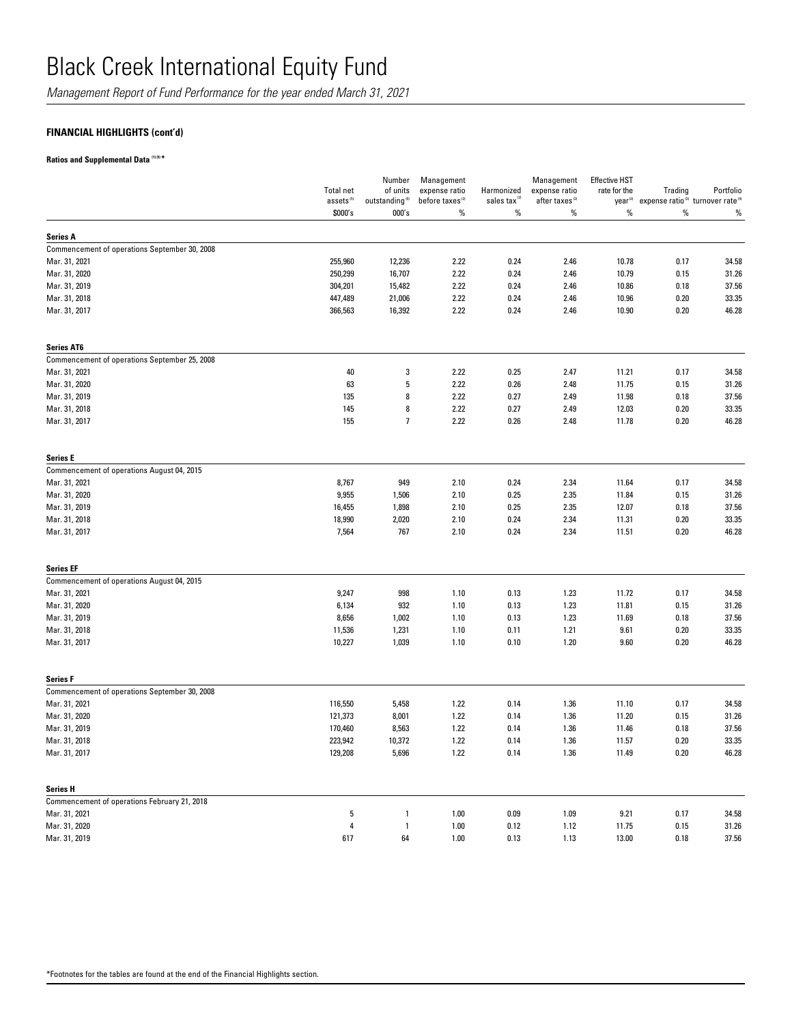*Management Report of Fund Performance for the year ended March 31, 2021*

## **FINANCIAL HIGHLIGHTS (cont'd)**

**Ratios and Supplemental Data (1) (5) \***

|                                               | <b>Total net</b><br>assets <sup>(5)</sup> | Number<br>of units<br>outstanding <sup>(5)</sup> | Management<br>expense ratio<br>before taxes <sup>(2)</sup> | Harmonized<br>sales tax <sup>12</sup> | Management<br>expense ratio<br>after taxes <sup>(2)</sup> | <b>Effective HST</b><br>rate for the<br>year <sup>(2)</sup> | Trading<br>expense ratio <sup>(3)</sup> turnover rate <sup>(4)</sup> | Portfolio |
|-----------------------------------------------|-------------------------------------------|--------------------------------------------------|------------------------------------------------------------|---------------------------------------|-----------------------------------------------------------|-------------------------------------------------------------|----------------------------------------------------------------------|-----------|
|                                               | \$000's                                   | 000's                                            | $\%$                                                       | $\%$                                  | $\%$                                                      | %                                                           | %                                                                    | %         |
| <b>Series A</b>                               |                                           |                                                  |                                                            |                                       |                                                           |                                                             |                                                                      |           |
| Commencement of operations September 30, 2008 |                                           |                                                  |                                                            |                                       |                                                           |                                                             |                                                                      |           |
| Mar. 31, 2021                                 | 255,960                                   | 12,236                                           | 2.22                                                       | 0.24                                  | 2.46                                                      | 10.78                                                       | 0.17                                                                 | 34.58     |
| Mar. 31, 2020                                 | 250,299                                   | 16,707                                           | 2.22                                                       | 0.24                                  | 2.46                                                      | 10.79                                                       | 0.15                                                                 | 31.26     |
| Mar. 31, 2019                                 | 304,201                                   | 15,482                                           | 2.22                                                       | 0.24                                  | 2.46                                                      | 10.86                                                       | 0.18                                                                 | 37.56     |
| Mar. 31, 2018                                 | 447,489                                   | 21,006                                           | 2.22                                                       | 0.24                                  | 2.46                                                      | 10.96                                                       | 0.20                                                                 | 33.35     |
| Mar. 31, 2017                                 | 366,563                                   | 16,392                                           | 2.22                                                       | 0.24                                  | 2.46                                                      | 10.90                                                       | 0.20                                                                 | 46.28     |
| <b>Series AT6</b>                             |                                           |                                                  |                                                            |                                       |                                                           |                                                             |                                                                      |           |
| Commencement of operations September 25, 2008 |                                           |                                                  |                                                            |                                       |                                                           |                                                             |                                                                      |           |
| Mar. 31, 2021                                 | 40                                        | 3                                                | 2.22                                                       | 0.25                                  | 2.47                                                      | 11.21                                                       | 0.17                                                                 | 34.58     |
| Mar. 31, 2020                                 | 63                                        | 5                                                | 2.22                                                       | 0.26                                  | 2.48                                                      | 11.75                                                       | 0.15                                                                 | 31.26     |
| Mar. 31, 2019                                 | 135                                       | 8                                                | 2.22                                                       | 0.27                                  | 2.49                                                      | 11.98                                                       | 0.18                                                                 | 37.56     |
| Mar. 31, 2018                                 | 145                                       | 8                                                | 2.22                                                       | 0.27                                  | 2.49                                                      | 12.03                                                       | 0.20                                                                 | 33.35     |
| Mar. 31, 2017                                 | 155                                       | $\overline{7}$                                   | 2.22                                                       | 0.26                                  | 2.48                                                      | 11.78                                                       | 0.20                                                                 | 46.28     |
| <b>Series E</b>                               |                                           |                                                  |                                                            |                                       |                                                           |                                                             |                                                                      |           |
| Commencement of operations August 04, 2015    |                                           |                                                  |                                                            |                                       |                                                           |                                                             |                                                                      |           |
| Mar. 31, 2021                                 | 8,767                                     | 949                                              | 2.10                                                       | 0.24                                  | 2.34                                                      | 11.64                                                       | 0.17                                                                 | 34.58     |
| Mar. 31, 2020                                 | 9,955                                     | 1,506                                            | 2.10                                                       | 0.25                                  | 2.35                                                      | 11.84                                                       | 0.15                                                                 | 31.26     |
| Mar. 31, 2019                                 | 16,455                                    | 1,898                                            | 2.10                                                       | 0.25                                  | 2.35                                                      | 12.07                                                       | 0.18                                                                 | 37.56     |
| Mar. 31, 2018                                 | 18,990                                    | 2,020                                            | 2.10                                                       | 0.24                                  | 2.34                                                      | 11.31                                                       | 0.20                                                                 | 33.35     |
| Mar. 31, 2017                                 | 7,564                                     | 767                                              | 2.10                                                       | 0.24                                  | 2.34                                                      | 11.51                                                       | 0.20                                                                 | 46.28     |
| <b>Series EF</b>                              |                                           |                                                  |                                                            |                                       |                                                           |                                                             |                                                                      |           |
| Commencement of operations August 04, 2015    |                                           |                                                  |                                                            |                                       |                                                           |                                                             |                                                                      |           |
| Mar. 31, 2021                                 | 9,247                                     | 998                                              | 1.10                                                       | 0.13                                  | 1.23                                                      | 11.72                                                       | 0.17                                                                 | 34.58     |
| Mar. 31, 2020                                 | 6,134                                     | 932                                              | 1.10                                                       | 0.13                                  | 1.23                                                      | 11.81                                                       | 0.15                                                                 | 31.26     |
| Mar. 31, 2019                                 | 8,656                                     | 1,002                                            | 1.10                                                       | 0.13                                  | 1.23                                                      | 11.69                                                       | 0.18                                                                 | 37.56     |
| Mar. 31, 2018                                 | 11,536                                    | 1,231                                            | 1.10                                                       | 0.11                                  | 1.21                                                      | 9.61                                                        | 0.20                                                                 | 33.35     |
| Mar. 31, 2017                                 | 10,227                                    | 1,039                                            | 1.10                                                       | 0.10                                  | 1.20                                                      | 9.60                                                        | 0.20                                                                 | 46.28     |
| <b>Series F</b>                               |                                           |                                                  |                                                            |                                       |                                                           |                                                             |                                                                      |           |
| Commencement of operations September 30, 2008 |                                           |                                                  |                                                            |                                       |                                                           |                                                             |                                                                      |           |
| Mar. 31, 2021                                 | 116,550                                   | 5,458                                            | 1.22                                                       | 0.14                                  | 1.36                                                      | 11.10                                                       | 0.17                                                                 | 34.58     |
| Mar. 31, 2020                                 | 121,373                                   | 8,001                                            | 1.22                                                       | 0.14                                  | 1.36                                                      | 11.20                                                       | 0.15                                                                 | 31.26     |
| Mar. 31, 2019                                 | 170,460                                   | 8,563                                            | 1.22                                                       | 0.14                                  | 1.36                                                      | 11.46                                                       | 0.18                                                                 | 37.56     |
| Mar. 31, 2018                                 | 223,942                                   | 10,372                                           | 1.22                                                       | 0.14                                  | 1.36                                                      | 11.57                                                       | 0.20                                                                 | 33.35     |
| Mar. 31, 2017                                 | 129,208                                   | 5,696                                            | 1.22                                                       | 0.14                                  | 1.36                                                      | 11.49                                                       | 0.20                                                                 | 46.28     |
| <b>Series H</b>                               |                                           |                                                  |                                                            |                                       |                                                           |                                                             |                                                                      |           |
| Commencement of operations February 21, 2018  |                                           |                                                  |                                                            |                                       |                                                           |                                                             |                                                                      |           |
| Mar. 31, 2021                                 | 5                                         | $\mathbf{1}$                                     | 1.00                                                       | 0.09                                  | 1.09                                                      | 9.21                                                        | 0.17                                                                 | 34.58     |
| Mar. 31, 2020                                 | 4                                         | $\mathbf{1}$                                     | 1.00                                                       | 0.12                                  | 1.12                                                      | 11.75                                                       | 0.15                                                                 | 31.26     |
| Mar. 31, 2019                                 | 617                                       | 64                                               | 1.00                                                       | 0.13                                  | 1.13                                                      | 13.00                                                       | 0.18                                                                 | 37.56     |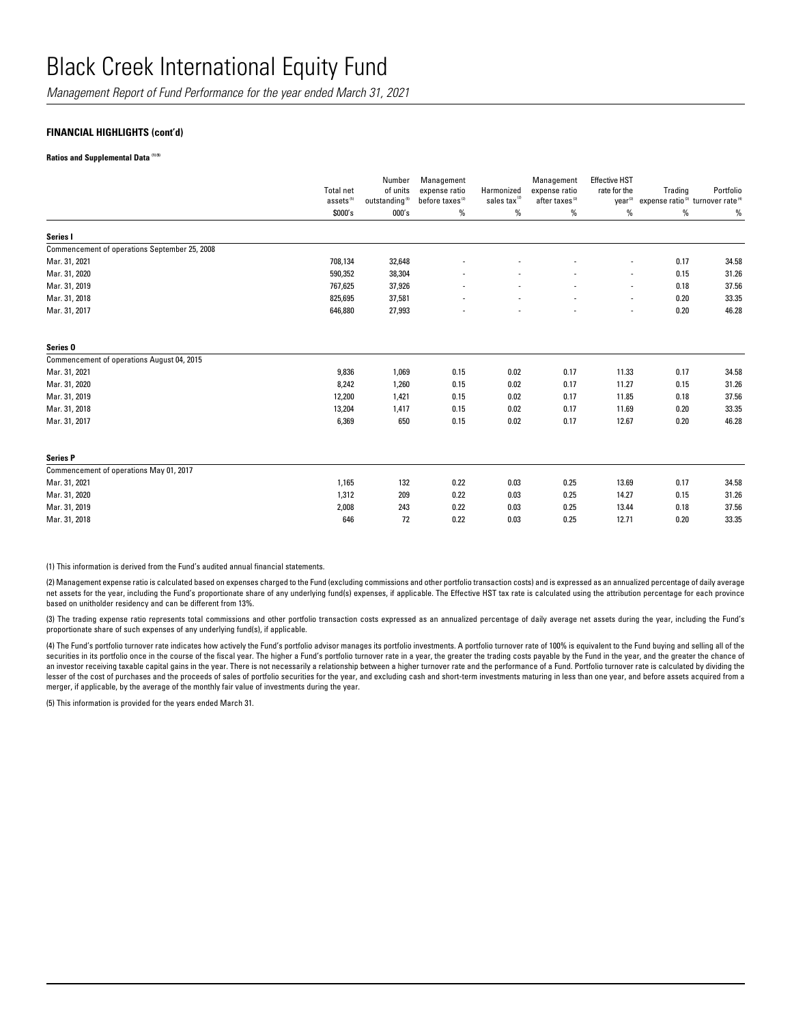*Management Report of Fund Performance for the year ended March 31, 2021*

### **FINANCIAL HIGHLIGHTS (cont'd)**

#### **Ratios and Supplemental Data (1) (5)**

|                                               | <b>Total net</b><br>assets <sup>(5)</sup> | Number<br>of units<br>outstanding <sup>(5)</sup> | Management<br>expense ratio<br>before taxes <sup>(2)</sup> | Harmonized<br>sales tax <sup>(2)</sup> | Management<br>expense ratio<br>after taxes <sup>(2)</sup> | <b>Effective HST</b><br>rate for the<br>year <sup>(2)</sup> | Trading<br>expense ratio <sup>(3)</sup> turnover rate <sup>(4)</sup> | Portfolio |
|-----------------------------------------------|-------------------------------------------|--------------------------------------------------|------------------------------------------------------------|----------------------------------------|-----------------------------------------------------------|-------------------------------------------------------------|----------------------------------------------------------------------|-----------|
|                                               | \$000's                                   | 000's                                            | %                                                          | %                                      | %                                                         | %                                                           | %                                                                    | $\%$      |
| Series I                                      |                                           |                                                  |                                                            |                                        |                                                           |                                                             |                                                                      |           |
| Commencement of operations September 25, 2008 |                                           |                                                  |                                                            |                                        |                                                           |                                                             |                                                                      |           |
| Mar. 31, 2021                                 | 708,134                                   | 32,648                                           |                                                            |                                        |                                                           | $\overline{\phantom{a}}$                                    | 0.17                                                                 | 34.58     |
| Mar. 31, 2020                                 | 590,352                                   | 38,304                                           |                                                            |                                        |                                                           | $\overline{\phantom{a}}$                                    | 0.15                                                                 | 31.26     |
| Mar. 31, 2019                                 | 767,625                                   | 37,926                                           |                                                            |                                        |                                                           | $\overline{\phantom{a}}$                                    | 0.18                                                                 | 37.56     |
| Mar. 31, 2018                                 | 825,695                                   | 37,581                                           |                                                            | $\overline{\phantom{a}}$               | $\overline{\phantom{a}}$                                  | $\overline{\phantom{a}}$                                    | 0.20                                                                 | 33.35     |
| Mar. 31, 2017                                 | 646,880                                   | 27,993                                           |                                                            |                                        |                                                           | ٠                                                           | 0.20                                                                 | 46.28     |
| Series <sub>0</sub>                           |                                           |                                                  |                                                            |                                        |                                                           |                                                             |                                                                      |           |
| Commencement of operations August 04, 2015    |                                           |                                                  |                                                            |                                        |                                                           |                                                             |                                                                      |           |
| Mar. 31, 2021                                 | 9,836                                     | 1,069                                            | 0.15                                                       | 0.02                                   | 0.17                                                      | 11.33                                                       | 0.17                                                                 | 34.58     |
| Mar. 31, 2020                                 | 8,242                                     | 1,260                                            | 0.15                                                       | 0.02                                   | 0.17                                                      | 11.27                                                       | 0.15                                                                 | 31.26     |
| Mar. 31, 2019                                 | 12,200                                    | 1,421                                            | 0.15                                                       | 0.02                                   | 0.17                                                      | 11.85                                                       | 0.18                                                                 | 37.56     |
| Mar. 31, 2018                                 | 13,204                                    | 1,417                                            | 0.15                                                       | 0.02                                   | 0.17                                                      | 11.69                                                       | 0.20                                                                 | 33.35     |
| Mar. 31, 2017                                 | 6,369                                     | 650                                              | 0.15                                                       | 0.02                                   | 0.17                                                      | 12.67                                                       | 0.20                                                                 | 46.28     |
| <b>Series P</b>                               |                                           |                                                  |                                                            |                                        |                                                           |                                                             |                                                                      |           |
| Commencement of operations May 01, 2017       |                                           |                                                  |                                                            |                                        |                                                           |                                                             |                                                                      |           |
| Mar. 31, 2021                                 | 1,165                                     | 132                                              | 0.22                                                       | 0.03                                   | 0.25                                                      | 13.69                                                       | 0.17                                                                 | 34.58     |
| Mar. 31, 2020                                 | 1,312                                     | 209                                              | 0.22                                                       | 0.03                                   | 0.25                                                      | 14.27                                                       | 0.15                                                                 | 31.26     |
| Mar. 31, 2019                                 | 2,008                                     | 243                                              | 0.22                                                       | 0.03                                   | 0.25                                                      | 13.44                                                       | 0.18                                                                 | 37.56     |
| Mar. 31, 2018                                 | 646                                       | 72                                               | 0.22                                                       | 0.03                                   | 0.25                                                      | 12.71                                                       | 0.20                                                                 | 33.35     |

(1) This information is derived from the Fund's audited annual financial statements.

(2) Management expense ratio is calculated based on expenses charged to the Fund (excluding commissions and other portfolio transaction costs) and is expressed as an annualized percentage of daily average net assets for the year, including the Fund's proportionate share of any underlying fund(s) expenses, if applicable. The Effective HST tax rate is calculated using the attribution percentage for each province based on unitholder residency and can be different from 13%.

(3) The trading expense ratio represents total commissions and other portfolio transaction costs expressed as an annualized percentage of daily average net assets during the year, including the Fund's proportionate share of such expenses of any underlying fund(s), if applicable.

(4) The Fund's portfolio turnover rate indicates how actively the Fund's portfolio advisor manages its portfolio investments. A portfolio turnover rate of 100% is equivalent to the Fund buying and selling all of the securities in its portfolio once in the course of the fiscal year. The higher a Fund's portfolio turnover rate in a year, the greater the trading costs payable by the Fund in the year, and the greater the chance of an investor receiving taxable capital gains in the year. There is not necessarily a relationship between a higher turnover rate and the performance of a Fund. Portfolio turnover rate is calculated by dividing the lesser of the cost of purchases and the proceeds of sales of portfolio securities for the year, and excluding cash and short-term investments maturing in less than one year, and before assets acquired from a merger, if applicable, by the average of the monthly fair value of investments during the year.

(5) This information is provided for the years ended March 31.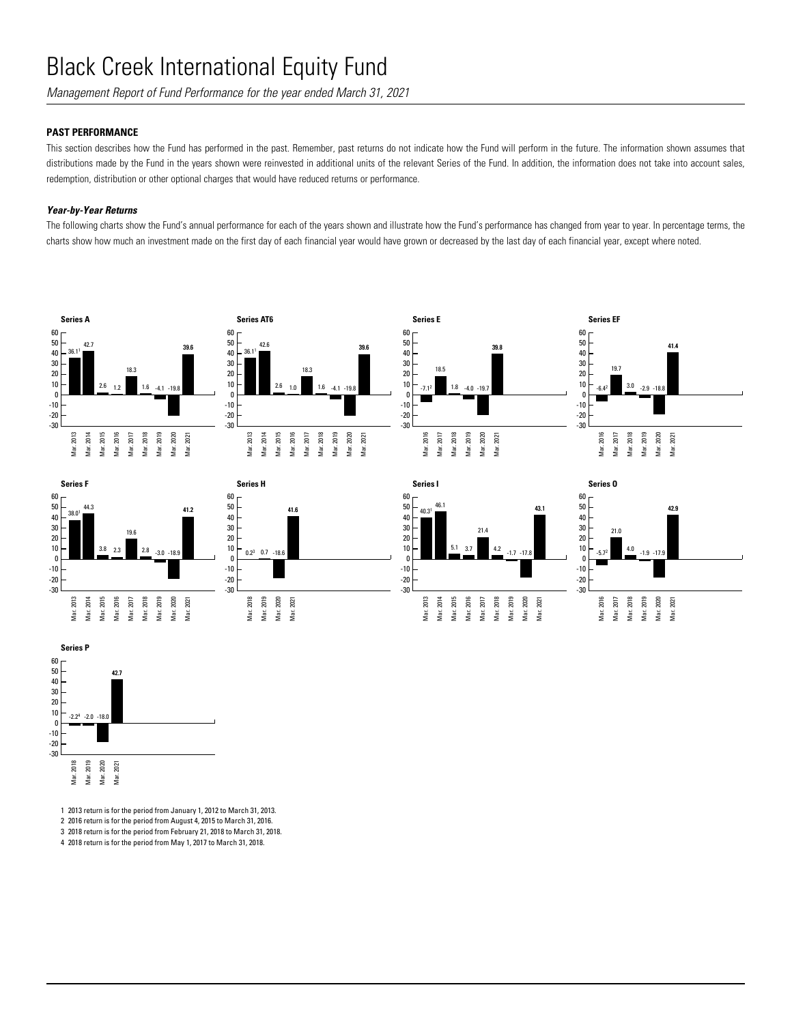*Management Report of Fund Performance for the year ended March 31, 2021*

## **PAST PERFORMANCE**

This section describes how the Fund has performed in the past. Remember, past returns do not indicate how the Fund will perform in the future. The information shown assumes that distributions made by the Fund in the years shown were reinvested in additional units of the relevant Series of the Fund. In addition, the information does not take into account sales, redemption, distribution or other optional charges that would have reduced returns or performance.

### *Year-by-Year Returns*

The following charts show the Fund's annual performance for each of the years shown and illustrate how the Fund's performance has changed from year to year. In percentage terms, the charts show how much an investment made on the first day of each financial year would have grown or decreased by the last day of each financial year, except where noted.

















1 2013 return is for the period from January 1, 2012 to March 31, 2013.

2 2016 return is for the period from August 4, 2015 to March 31, 2016.

3 2018 return is for the period from February 21, 2018 to March 31, 2018.

4 2018 return is for the period from May 1, 2017 to March 31, 2018.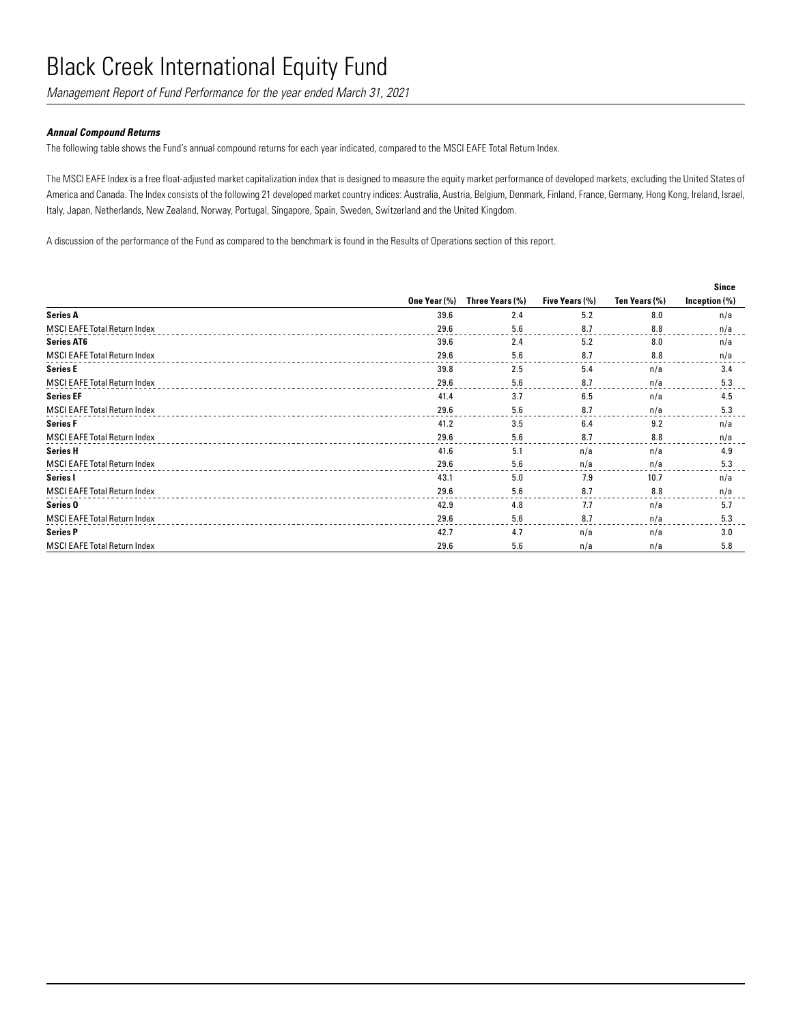*Management Report of Fund Performance for the year ended March 31, 2021*

### *Annual Compound Returns*

The following table shows the Fund's annual compound returns for each year indicated, compared to the MSCI EAFE Total Return Index.

The MSCI EAFE Index is a free float-adjusted market capitalization index that is designed to measure the equity market performance of developed markets, excluding the United States of America and Canada. The Index consists of the following 21 developed market country indices: Australia, Austria, Belgium, Denmark, Finland, France, Germany, Hong Kong, Ireland, Israel, Italy, Japan, Netherlands, New Zealand, Norway, Portugal, Singapore, Spain, Sweden, Switzerland and the United Kingdom.

A discussion of the performance of the Fund as compared to the benchmark is found in the Results of Operations section of this report.

|                                     |              |                 |                |               | <b>Since</b>     |
|-------------------------------------|--------------|-----------------|----------------|---------------|------------------|
|                                     | One Year (%) | Three Years (%) | Five Years (%) | Ten Years (%) | Inception $(\%)$ |
| <b>Series A</b>                     | 39.6         | 2.4             | 5.2            | 8.0           | n/a              |
| <b>MSCI EAFE Total Return Index</b> | 29.6         | 5.6             | 8.7            | 8.8           | n/a              |
| <b>Series AT6</b>                   | 39.6         | 2.4             | 5.2            | 8.0           | n/a              |
| <b>MSCI EAFE Total Return Index</b> | 29.6         | 5.6             | 8.7            | 8.8           | n/a              |
| <b>Series E</b>                     | 39.8         | 2.5             | 5.4            | n/a           | 3.4              |
| <b>MSCI EAFE Total Return Index</b> | 29.6         | 5.6             | 8.7            | n/a           | 5.3              |
| <b>Series EF</b>                    | 41.4         | 3.7             | 6.5            | n/a           | 4.5              |
| <b>MSCI EAFE Total Return Index</b> | 29.6         | 5.6             | 8.7            | n/a           | 5.3              |
| <b>Series F</b>                     | 41.2         | 3.5             | 6.4            | 9.2           | n/a              |
| <b>MSCI EAFE Total Return Index</b> | 29.6         | 5.6             | 8.7            | 8.8           | n/a              |
| <b>Series H</b>                     | 41.6         | 5.1             | n/a            | n/a           | 4.9              |
| <b>MSCI EAFE Total Return Index</b> | 29.6         | 5.6             | n/a            | n/a           | 5.3              |
| Series I                            | 43.1         | 5.0             | 7.9            | 10.7          | n/a              |
| <b>MSCI EAFE Total Return Index</b> | 29.6         | 5.6             | 8.7            | 8.8           | n/a              |
| Series <sub>0</sub>                 | 42.9         | 4.8             | 7.7            | n/a           | 5.7              |
| <b>MSCI EAFE Total Return Index</b> | 29.6         | 5.6             | 8.7            | n/a           | 5.3              |
| <b>Series P</b>                     | 42.7         | 4.7             | n/a            | n/a           | 3.0              |
| <b>MSCI EAFE Total Return Index</b> | 29.6         | 5.6             | n/a            | n/a           | 5.8              |